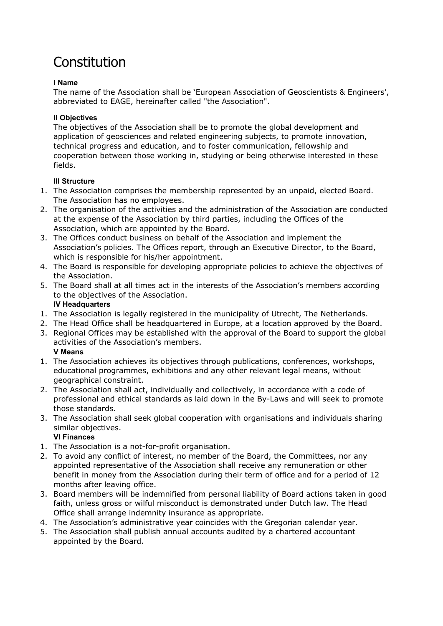# Constitution

## **I Name**

The name of the Association shall be 'European Association of Geoscientists & Engineers', abbreviated to EAGE, hereinafter called "the Association".

# **II Objectives**

The objectives of the Association shall be to promote the global development and application of geosciences and related engineering subjects, to promote innovation, technical progress and education, and to foster communication, fellowship and cooperation between those working in, studying or being otherwise interested in these fields.

# **III Structure**

- 1. The Association comprises the membership represented by an unpaid, elected Board. The Association has no employees.
- 2. The organisation of the activities and the administration of the Association are conducted at the expense of the Association by third parties, including the Offices of the Association, which are appointed by the Board.
- 3. The Offices conduct business on behalf of the Association and implement the Association's policies. The Offices report, through an Executive Director, to the Board, which is responsible for his/her appointment.
- 4. The Board is responsible for developing appropriate policies to achieve the objectives of the Association.
- 5. The Board shall at all times act in the interests of the Association's members according to the objectives of the Association. **IV Headquarters**
- 1. The Association is legally registered in the municipality of Utrecht, The Netherlands.
- 2. The Head Office shall be headquartered in Europe, at a location approved by the Board.
- 3. Regional Offices may be established with the approval of the Board to support the global activities of the Association's members. **V Means**
- 1. The Association achieves its objectives through publications, conferences, workshops, educational programmes, exhibitions and any other relevant legal means, without geographical constraint.
- 2. The Association shall act, individually and collectively, in accordance with a code of professional and ethical standards as laid down in the By-Laws and will seek to promote those standards.
- 3. The Association shall seek global cooperation with organisations and individuals sharing similar objectives.

# **VI Finances**

- 1. The Association is a not-for-profit organisation.
- 2. To avoid any conflict of interest, no member of the Board, the Committees, nor any appointed representative of the Association shall receive any remuneration or other benefit in money from the Association during their term of office and for a period of 12 months after leaving office.
- 3. Board members will be indemnified from personal liability of Board actions taken in good faith, unless gross or wilful misconduct is demonstrated under Dutch law. The Head Office shall arrange indemnity insurance as appropriate.
- 4. The Association's administrative year coincides with the Gregorian calendar year.
- 5. The Association shall publish annual accounts audited by a chartered accountant appointed by the Board.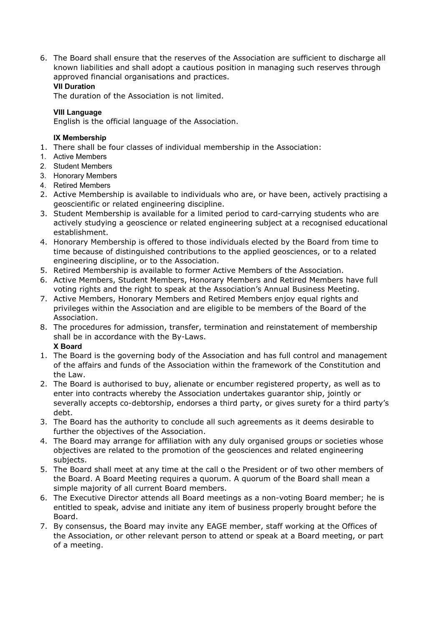6. The Board shall ensure that the reserves of the Association are sufficient to discharge all known liabilities and shall adopt a cautious position in managing such reserves through approved financial organisations and practices. **VII Duration**

## The duration of the Association is not limited.

#### **VIII Language**

English is the official language of the Association.

#### **IX Membership**

- 1. There shall be four classes of individual membership in the Association:
- 1. Active Members
- 2. Student Members
- 3. Honorary Members
- 4. Retired Members
- 2. Active Membership is available to individuals who are, or have been, actively practising a geoscientific or related engineering discipline.
- 3. Student Membership is available for a limited period to card-carrying students who are actively studying a geoscience or related engineering subject at a recognised educational establishment.
- 4. Honorary Membership is offered to those individuals elected by the Board from time to time because of distinguished contributions to the applied geosciences, or to a related engineering discipline, or to the Association.
- 5. Retired Membership is available to former Active Members of the Association.
- 6. Active Members, Student Members, Honorary Members and Retired Members have full voting rights and the right to speak at the Association's Annual Business Meeting.
- 7. Active Members, Honorary Members and Retired Members enjoy equal rights and privileges within the Association and are eligible to be members of the Board of the Association.
- 8. The procedures for admission, transfer, termination and reinstatement of membership shall be in accordance with the By-Laws.

#### **X Board**

- 1. The Board is the governing body of the Association and has full control and management of the affairs and funds of the Association within the framework of the Constitution and the Law.
- 2. The Board is authorised to buy, alienate or encumber registered property, as well as to enter into contracts whereby the Association undertakes guarantor ship, jointly or severally accepts co-debtorship, endorses a third party, or gives surety for a third party's debt.
- 3. The Board has the authority to conclude all such agreements as it deems desirable to further the objectives of the Association.
- 4. The Board may arrange for affiliation with any duly organised groups or societies whose objectives are related to the promotion of the geosciences and related engineering subjects.
- 5. The Board shall meet at any time at the call o the President or of two other members of the Board. A Board Meeting requires a quorum. A quorum of the Board shall mean a simple majority of all current Board members.
- 6. The Executive Director attends all Board meetings as a non-voting Board member; he is entitled to speak, advise and initiate any item of business properly brought before the Board.
- 7. By consensus, the Board may invite any EAGE member, staff working at the Offices of the Association, or other relevant person to attend or speak at a Board meeting, or part of a meeting.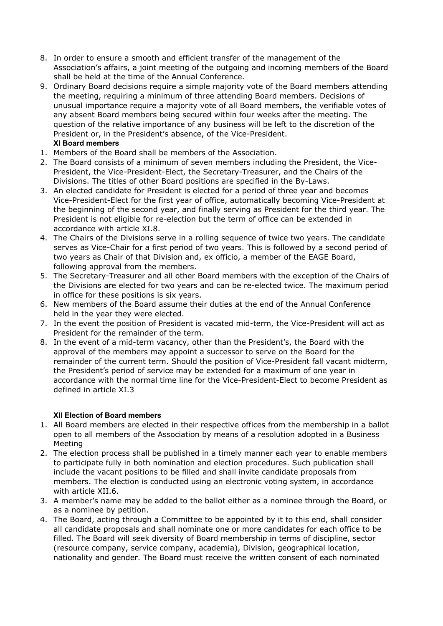- 8. In order to ensure a smooth and efficient transfer of the management of the Association's affairs, a joint meeting of the outgoing and incoming members of the Board shall be held at the time of the Annual Conference.
- 9. Ordinary Board decisions require a simple majority vote of the Board members attending the meeting, requiring a minimum of three attending Board members. Decisions of unusual importance require a majority vote of all Board members, the verifiable votes of any absent Board members being secured within four weeks after the meeting. The question of the relative importance of any business will be left to the discretion of the President or, in the President's absence, of the Vice-President. **XI Board members**
- 1. Members of the Board shall be members of the Association.
- 2. The Board consists of a minimum of seven members including the President, the Vice-President, the Vice-President-Elect, the Secretary-Treasurer, and the Chairs of the Divisions. The titles of other Board positions are specified in the By-Laws.
- 3. An elected candidate for President is elected for a period of three year and becomes Vice-President-Elect for the first year of office, automatically becoming Vice-President at the beginning of the second year, and finally serving as President for the third year. The President is not eligible for re-election but the term of office can be extended in accordance with article XI.8.
- 4. The Chairs of the Divisions serve in a rolling sequence of twice two years. The candidate serves as Vice-Chair for a first period of two years. This is followed by a second period of two years as Chair of that Division and, ex officio, a member of the EAGE Board, following approval from the members.
- 5. The Secretary-Treasurer and all other Board members with the exception of the Chairs of the Divisions are elected for two years and can be re-elected twice. The maximum period in office for these positions is six years.
- 6. New members of the Board assume their duties at the end of the Annual Conference held in the year they were elected.
- 7. In the event the position of President is vacated mid-term, the Vice-President will act as President for the remainder of the term.
- 8. In the event of a mid-term vacancy, other than the President's, the Board with the approval of the members may appoint a successor to serve on the Board for the remainder of the current term. Should the position of Vice-President fall vacant midterm, the President's period of service may be extended for a maximum of one year in accordance with the normal time line for the Vice-President-Elect to become President as defined in article XI.3

# **XII Election of Board members**

- 1. All Board members are elected in their respective offices from the membership in a ballot open to all members of the Association by means of a resolution adopted in a Business Meeting
- 2. The election process shall be published in a timely manner each year to enable members to participate fully in both nomination and election procedures. Such publication shall include the vacant positions to be filled and shall invite candidate proposals from members. The election is conducted using an electronic voting system, in accordance with article XII.6.
- 3. A member's name may be added to the ballot either as a nominee through the Board, or as a nominee by petition.
- 4. The Board, acting through a Committee to be appointed by it to this end, shall consider all candidate proposals and shall nominate one or more candidates for each office to be filled. The Board will seek diversity of Board membership in terms of discipline, sector (resource company, service company, academia), Division, geographical location, nationality and gender. The Board must receive the written consent of each nominated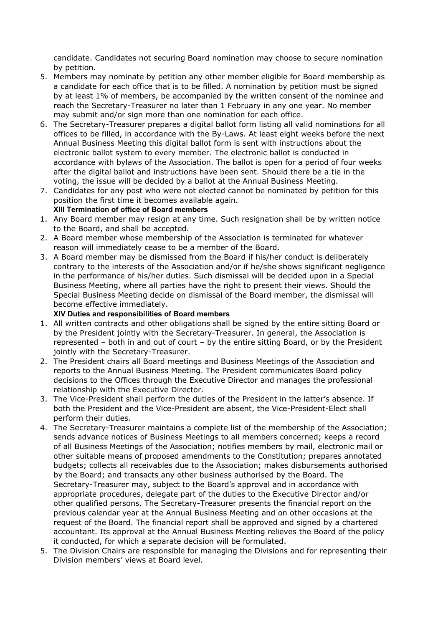candidate. Candidates not securing Board nomination may choose to secure nomination by petition.

- 5. Members may nominate by petition any other member eligible for Board membership as a candidate for each office that is to be filled. A nomination by petition must be signed by at least 1% of members, be accompanied by the written consent of the nominee and reach the Secretary-Treasurer no later than 1 February in any one year. No member may submit and/or sign more than one nomination for each office.
- 6. The Secretary-Treasurer prepares a digital ballot form listing all valid nominations for all offices to be filled, in accordance with the By-Laws. At least eight weeks before the next Annual Business Meeting this digital ballot form is sent with instructions about the electronic ballot system to every member. The electronic ballot is conducted in accordance with bylaws of the Association. The ballot is open for a period of four weeks after the digital ballot and instructions have been sent. Should there be a tie in the voting, the issue will be decided by a ballot at the Annual Business Meeting.
- 7. Candidates for any post who were not elected cannot be nominated by petition for this position the first time it becomes available again. **XIII Termination of office of Board members**
- 1. Any Board member may resign at any time. Such resignation shall be by written notice to the Board, and shall be accepted.
- 2. A Board member whose membership of the Association is terminated for whatever reason will immediately cease to be a member of the Board.
- 3. A Board member may be dismissed from the Board if his/her conduct is deliberately contrary to the interests of the Association and/or if he/she shows significant negligence in the performance of his/her duties. Such dismissal will be decided upon in a Special Business Meeting, where all parties have the right to present their views. Should the Special Business Meeting decide on dismissal of the Board member, the dismissal will become effective immediately.

#### **XIV Duties and responsibilities of Board members**

- 1. All written contracts and other obligations shall be signed by the entire sitting Board or by the President jointly with the Secretary-Treasurer. In general, the Association is represented – both in and out of court – by the entire sitting Board, or by the President jointly with the Secretary-Treasurer.
- 2. The President chairs all Board meetings and Business Meetings of the Association and reports to the Annual Business Meeting. The President communicates Board policy decisions to the Offices through the Executive Director and manages the professional relationship with the Executive Director.
- 3. The Vice-President shall perform the duties of the President in the latter's absence. If both the President and the Vice-President are absent, the Vice-President-Elect shall perform their duties.
- 4. The Secretary-Treasurer maintains a complete list of the membership of the Association; sends advance notices of Business Meetings to all members concerned; keeps a record of all Business Meetings of the Association; notifies members by mail, electronic mail or other suitable means of proposed amendments to the Constitution; prepares annotated budgets; collects all receivables due to the Association; makes disbursements authorised by the Board; and transacts any other business authorised by the Board. The Secretary-Treasurer may, subject to the Board's approval and in accordance with appropriate procedures, delegate part of the duties to the Executive Director and/or other qualified persons. The Secretary-Treasurer presents the financial report on the previous calendar year at the Annual Business Meeting and on other occasions at the request of the Board. The financial report shall be approved and signed by a chartered accountant. Its approval at the Annual Business Meeting relieves the Board of the policy it conducted, for which a separate decision will be formulated.
- 5. The Division Chairs are responsible for managing the Divisions and for representing their Division members' views at Board level.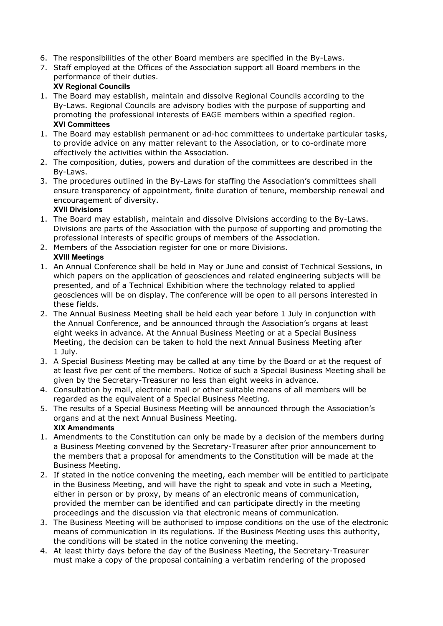- 6. The responsibilities of the other Board members are specified in the By-Laws.
- 7. Staff employed at the Offices of the Association support all Board members in the performance of their duties.

# **XV Regional Councils**

- 1. The Board may establish, maintain and dissolve Regional Councils according to the By-Laws. Regional Councils are advisory bodies with the purpose of supporting and promoting the professional interests of EAGE members within a specified region. **XVI Committees**
- 1. The Board may establish permanent or ad-hoc committees to undertake particular tasks, to provide advice on any matter relevant to the Association, or to co-ordinate more effectively the activities within the Association.
- 2. The composition, duties, powers and duration of the committees are described in the By-Laws.
- 3. The procedures outlined in the By-Laws for staffing the Association's committees shall ensure transparency of appointment, finite duration of tenure, membership renewal and encouragement of diversity.

# **XVII Divisions**

- 1. The Board may establish, maintain and dissolve Divisions according to the By-Laws. Divisions are parts of the Association with the purpose of supporting and promoting the professional interests of specific groups of members of the Association.
- 2. Members of the Association register for one or more Divisions.

# **XVIII Meetings**

- 1. An Annual Conference shall be held in May or June and consist of Technical Sessions, in which papers on the application of geosciences and related engineering subjects will be presented, and of a Technical Exhibition where the technology related to applied geosciences will be on display. The conference will be open to all persons interested in these fields.
- 2. The Annual Business Meeting shall be held each year before 1 July in conjunction with the Annual Conference, and be announced through the Association's organs at least eight weeks in advance. At the Annual Business Meeting or at a Special Business Meeting, the decision can be taken to hold the next Annual Business Meeting after 1 July.
- 3. A Special Business Meeting may be called at any time by the Board or at the request of at least five per cent of the members. Notice of such a Special Business Meeting shall be given by the Secretary-Treasurer no less than eight weeks in advance.
- 4. Consultation by mail, electronic mail or other suitable means of all members will be regarded as the equivalent of a Special Business Meeting.
- 5. The results of a Special Business Meeting will be announced through the Association's organs and at the next Annual Business Meeting. **XIX Amendments**
- 1. Amendments to the Constitution can only be made by a decision of the members during a Business Meeting convened by the Secretary-Treasurer after prior announcement to the members that a proposal for amendments to the Constitution will be made at the Business Meeting.
- 2. If stated in the notice convening the meeting, each member will be entitled to participate in the Business Meeting, and will have the right to speak and vote in such a Meeting, either in person or by proxy, by means of an electronic means of communication, provided the member can be identified and can participate directly in the meeting proceedings and the discussion via that electronic means of communication.
- 3. The Business Meeting will be authorised to impose conditions on the use of the electronic means of communication in its regulations. If the Business Meeting uses this authority, the conditions will be stated in the notice convening the meeting.
- 4. At least thirty days before the day of the Business Meeting, the Secretary-Treasurer must make a copy of the proposal containing a verbatim rendering of the proposed